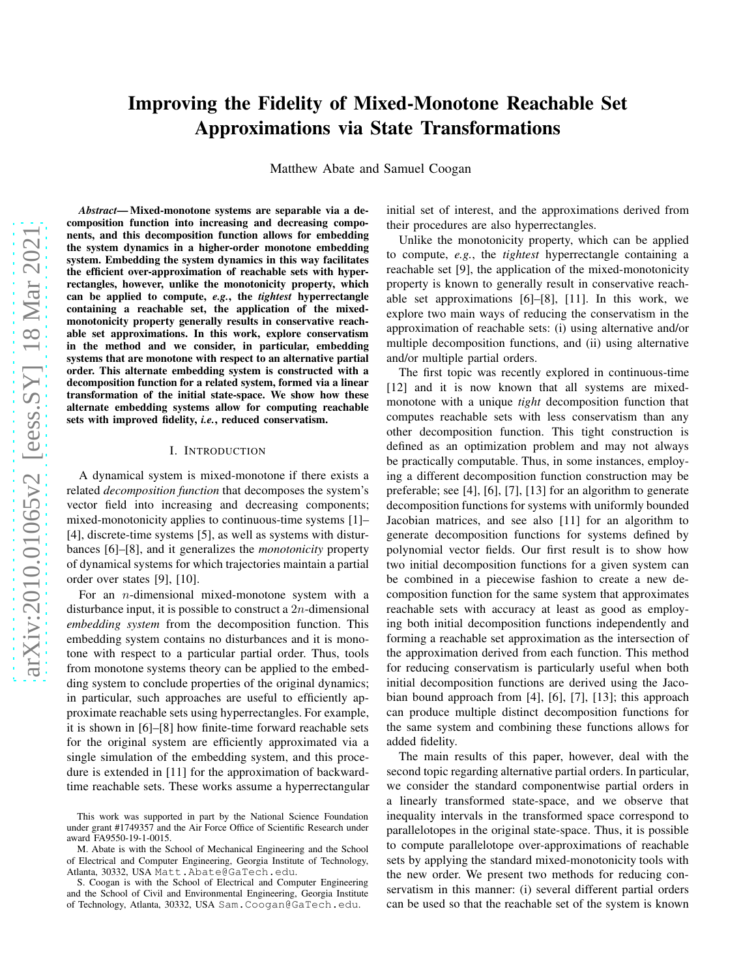# Improving the Fidelity of Mixed-Monotone Reachable Set Approximations via State Transformations

Matthew Abate and Samuel Coogan

*Abstract*— Mixed-monotone systems are separable via a decomposition function into increasing and decreasing components, and this decomposition function allows for embedding the system dynamics in a higher-order monotone embedding system. Embedding the system dynamics in this way facilitates the efficient over-approximation of reachable sets with hyperrectangles, however, unlike the monotonicity property, which can be applied to compute, *e.g.*, the *tightest* hyperrectangle containing a reachable set, the application of the mixedmonotonicity property generally results in conservative reachable set approximations. In this work, explore conservatism in the method and we consider, in particular, embedding systems that are monotone with respect to an alternative partial order. This alternate embedding system is constructed with a decomposition function for a related system, formed via a linear transformation of the initial state-space. We show how these alternate embedding systems allow for computing reachable sets with improved fidelity, *i.e.*, reduced conservatism.

#### I. INTRODUCTION

A dynamical system is mixed-monotone if there exists a related *decomposition function* that decomposes the system's vector field into increasing and decreasing components; mixed-monotonicity applies to continuous-time systems [1]– [4], discrete-time systems [5], as well as systems with disturbances [6]–[8], and it generalizes the *monotonicity* property of dynamical systems for which trajectories maintain a partial order over states [9], [10].

For an n-dimensional mixed-monotone system with a disturbance input, it is possible to construct a  $2n$ -dimensional *embedding system* from the decomposition function. This embedding system contains no disturbances and it is monotone with respect to a particular partial order. Thus, tools from monotone systems theory can be applied to the embedding system to conclude properties of the original dynamics; in particular, such approaches are useful to efficiently approximate reachable sets using hyperrectangles. For example, it is shown in [6]–[8] how finite-time forward reachable sets for the original system are efficiently approximated via a single simulation of the embedding system, and this procedure is extended in [11] for the approximation of backwardtime reachable sets. These works assume a hyperrectangular initial set of interest, and the approximations derived from their procedures are also hyperrectangles.

Unlike the monotonicity property, which can be applied to compute, *e.g.*, the *tightest* hyperrectangle containing a reachable set [9], the application of the mixed-monotonicity property is known to generally result in conservative reachable set approximations [6]–[8], [11]. In this work, we explore two main ways of reducing the conservatism in the approximation of reachable sets: (i) using alternative and/or multiple decomposition functions, and (ii) using alternative and/or multiple partial orders.

The first topic was recently explored in continuous-time [12] and it is now known that all systems are mixedmonotone with a unique *tight* decomposition function that computes reachable sets with less conservatism than any other decomposition function. This tight construction is defined as an optimization problem and may not always be practically computable. Thus, in some instances, employing a different decomposition function construction may be preferable; see [4], [6], [7], [13] for an algorithm to generate decomposition functions for systems with uniformly bounded Jacobian matrices, and see also [11] for an algorithm to generate decomposition functions for systems defined by polynomial vector fields. Our first result is to show how two initial decomposition functions for a given system can be combined in a piecewise fashion to create a new decomposition function for the same system that approximates reachable sets with accuracy at least as good as employing both initial decomposition functions independently and forming a reachable set approximation as the intersection of the approximation derived from each function. This method for reducing conservatism is particularly useful when both initial decomposition functions are derived using the Jacobian bound approach from [4], [6], [7], [13]; this approach can produce multiple distinct decomposition functions for the same system and combining these functions allows for added fidelity.

The main results of this paper, however, deal with the second topic regarding alternative partial orders. In particular, we consider the standard componentwise partial orders in a linearly transformed state-space, and we observe that inequality intervals in the transformed space correspond to parallelotopes in the original state-space. Thus, it is possible to compute parallelotope over-approximations of reachable sets by applying the standard mixed-monotonicity tools with the new order. We present two methods for reducing conservatism in this manner: (i) several different partial orders can be used so that the reachable set of the system is known

This work was supported in part by the National Science Foundation under grant #1749357 and the Air Force Office of Scientific Research under award FA9550-19-1-0015.

M. Abate is with the School of Mechanical Engineering and the School of Electrical and Computer Engineering, Georgia Institute of Technology, Atlanta, 30332, USA Matt.Abate@GaTech.edu.

S. Coogan is with the School of Electrical and Computer Engineering and the School of Civil and Environmental Engineering, Georgia Institute of Technology, Atlanta, 30332, USA Sam.Coogan@GaTech.edu.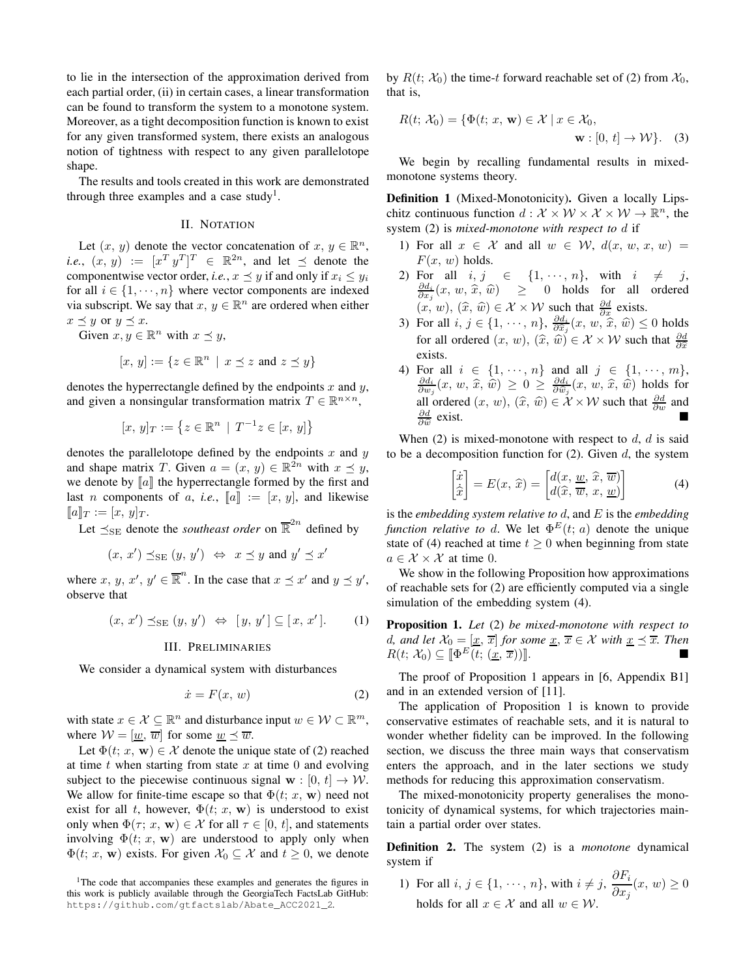to lie in the intersection of the approximation derived from each partial order, (ii) in certain cases, a linear transformation can be found to transform the system to a monotone system. Moreover, as a tight decomposition function is known to exist for any given transformed system, there exists an analogous notion of tightness with respect to any given parallelotope shape.

The results and tools created in this work are demonstrated through three examples and a case study<sup>[1](#page-1-0)</sup>.

## II. NOTATION

Let  $(x, y)$  denote the vector concatenation of  $x, y \in \mathbb{R}^n$ , *i.e.*,  $(x, y) := [x^T y^T]^T \in \mathbb{R}^{2n}$ , and let  $\preceq$  denote the componentwise vector order, *i.e.*,  $x \leq y$  if and only if  $x_i \leq y_i$ for all  $i \in \{1, \dots, n\}$  where vector components are indexed via subscript. We say that  $x, y \in \mathbb{R}^n$  are ordered when either  $x \preceq y$  or  $y \preceq x$ .

Given  $x, y \in \mathbb{R}^n$  with  $x \preceq y$ ,

$$
[x, y] := \{ z \in \mathbb{R}^n \mid x \preceq z \text{ and } z \preceq y \}
$$

denotes the hyperrectangle defined by the endpoints  $x$  and  $y$ , and given a nonsingular transformation matrix  $T \in \mathbb{R}^{n \times n}$ ,

$$
[x, y]_T := \left\{ z \in \mathbb{R}^n \mid T^{-1}z \in [x, y] \right\}
$$

denotes the parallelotope defined by the endpoints  $x$  and  $y$ and shape matrix T. Given  $a = (x, y) \in \mathbb{R}^{2n}$  with  $x \preceq y$ , we denote by  $\llbracket a \rrbracket$  the hyperrectangle formed by the first and last *n* components of *a*, *i.e.*,  $\llbracket a \rrbracket := [x, y]$ , and likewise  $[\![a]\!]_T := [x, y]_T.$ 

Let  $\preceq_{\text{SE}}$  denote the *southeast order* on  $\overline{\mathbb{R}}^{2n}$  defined by

$$
(x, x') \preceq_{\rm SE} (y, y') \Leftrightarrow x \preceq y \text{ and } y' \preceq x'
$$

where x, y, x',  $y' \in \overline{\mathbb{R}}^n$ . In the case that  $x \preceq x'$  and  $y \preceq y'$ , observe that

$$
(x, x') \preceq_{\rm SE} (y, y') \Leftrightarrow [y, y'] \subseteq [x, x']. \qquad (1)
$$

#### III. PRELIMINARIES

We consider a dynamical system with disturbances

<span id="page-1-1"></span>
$$
\dot{x} = F(x, w) \tag{2}
$$

with state  $x \in \mathcal{X} \subseteq \mathbb{R}^n$  and disturbance input  $w \in \mathcal{W} \subset \mathbb{R}^m$ , where  $W = [\underline{w}, \overline{w}]$  for some  $\underline{w} \preceq \overline{w}$ .

Let  $\Phi(t; x, \mathbf{w}) \in \mathcal{X}$  denote the unique state of [\(2\)](#page-1-1) reached at time  $t$  when starting from state  $x$  at time 0 and evolving subject to the piecewise continuous signal  $\mathbf{w} : [0, t] \to \mathcal{W}$ . We allow for finite-time escape so that  $\Phi(t; x, \mathbf{w})$  need not exist for all t, however,  $\Phi(t; x, \mathbf{w})$  is understood to exist only when  $\Phi(\tau; x, \mathbf{w}) \in \mathcal{X}$  for all  $\tau \in [0, t]$ , and statements involving  $\Phi(t; x, \mathbf{w})$  are understood to apply only when  $\Phi(t; x, \mathbf{w})$  exists. For given  $\mathcal{X}_0 \subseteq \mathcal{X}$  and  $t \geq 0$ , we denote by  $R(t; \mathcal{X}_0)$  the time-t forward reachable set of [\(2\)](#page-1-1) from  $\mathcal{X}_0$ , that is,

<span id="page-1-6"></span>
$$
R(t; \mathcal{X}_0) = \{ \Phi(t; x, \mathbf{w}) \in \mathcal{X} \mid x \in \mathcal{X}_0, \mathbf{w} : [0, t] \to \mathcal{W} \}. \tag{3}
$$

We begin by recalling fundamental results in mixedmonotone systems theory.

<span id="page-1-5"></span>Definition 1 (Mixed-Monotonicity). Given a locally Lipschitz continuous function  $d: \mathcal{X} \times \mathcal{W} \times \mathcal{X} \times \mathcal{W} \to \mathbb{R}^n$ , the system [\(2\)](#page-1-1) is *mixed-monotone with respect to* d if

- 1) For all  $x \in \mathcal{X}$  and all  $w \in \mathcal{W}$ ,  $d(x, w, x, w) =$  $F(x, w)$  holds.
- 2) For all  $i, j \in \{1, \dots, n\}$ , with  $i \neq j$ ,<br>  $\frac{\partial d_i}{\partial x_j}(x, w, \hat{x}, \hat{w}) \geq 0$  holds for all ordered  $(x, w), (\hat{x}, \hat{w}) \in \mathcal{X} \times \mathcal{W}$  such that  $\frac{\partial d}{\partial x}$  exists.
- 3) For all  $i, j \in \{1, \dots, n\}$ ,  $\frac{\partial d_i}{\partial \widehat{x}_j}(x, w, \widehat{x}, \widehat{w}) \le 0$  holds for all ordered  $(x, w)$ ,  $(\widehat{x}, \widehat{w}) \in \mathcal{X} \times \mathcal{W}$  such that  $\frac{\partial d}{\partial \widehat{x}}$ exists.
- 4) For all  $i \in \{1, \dots, n\}$  and all  $j \in \{1, \dots, m\}$ ,  $\frac{\partial d_i}{\partial w_j}(x, w, \hat{x}, \hat{w}) \geq 0 \geq \frac{\partial d_i}{\partial \hat{w}_j}(x, w, \hat{x}, \hat{w})$  holds for all ordered  $(x, w)$ ,  $(\hat{x}, \hat{w}) \in \mathcal{X} \times \mathcal{W}$  such that  $\frac{\partial d}{\partial w}$  and  $\frac{\partial d}{\partial \widehat{w}}$  $\overline{\phantom{a}}$  exist.

When  $(2)$  is mixed-monotone with respect to d, d is said to be a decomposition function for  $(2)$ . Given d, the system

<span id="page-1-2"></span>
$$
\begin{bmatrix} \dot{x} \\ \dot{\hat{x}} \end{bmatrix} = E(x, \, \widehat{x}) = \begin{bmatrix} d(x, \, \underline{w}, \, \widehat{x}, \, \overline{w}) \\ d(\widehat{x}, \, \overline{w}, \, x, \, \underline{w}) \end{bmatrix} \tag{4}
$$

is the *embedding system relative to* d, and E is the *embedding function relative to d.* We let  $\Phi^E(t; a)$  denote the unique state of [\(4\)](#page-1-2) reached at time  $t \geq 0$  when beginning from state  $a \in \mathcal{X} \times \mathcal{X}$  at time 0.

We show in the following Proposition how approximations of reachable sets for [\(2\)](#page-1-1) are efficiently computed via a single simulation of the embedding system [\(4\)](#page-1-2).

<span id="page-1-3"></span>Proposition 1. *Let* [\(2\)](#page-1-1) *be mixed-monotone with respect to d, and let*  $\mathcal{X}_0 = [\underline{x}, \overline{x}]$  *for some*  $\underline{x}, \overline{x} \in \mathcal{X}$  *with*  $\underline{x} \preceq \overline{x}$ *. Then*  $R(t; \mathcal{X}_0) \subseteq [\![\Phi^E(t; (\underline{x}, \overline{x}))]\!]$ .

The proof of Proposition [1](#page-1-3) appears in [6, Appendix B1] and in an extended version of [11].

The application of Proposition [1](#page-1-3) is known to provide conservative estimates of reachable sets, and it is natural to wonder whether fidelity can be improved. In the following section, we discuss the three main ways that conservatism enters the approach, and in the later sections we study methods for reducing this approximation conservatism.

The mixed-monotonicity property generalises the monotonicity of dynamical systems, for which trajectories maintain a partial order over states.

<span id="page-1-4"></span>Definition 2. The system [\(2\)](#page-1-1) is a *monotone* dynamical system if

1) For all  $i, j \in \{1, \dots, n\}$ , with  $i \neq j$ ,  $\frac{\partial F_i}{\partial j}$  $\frac{\partial^2 u}{\partial x_j}(x, w) \geq 0$ holds for all  $x \in \mathcal{X}$  and all  $w \in \mathcal{W}$ .

<span id="page-1-0"></span><sup>&</sup>lt;sup>1</sup>The code that accompanies these examples and generates the figures in this work is publicly available through the GeorgiaTech FactsLab GitHub: [https://github.com/gtfactslab/Abate\\_ACC2021\\_2](https://github.com/gtfactslab/Abate_ACC2021_2).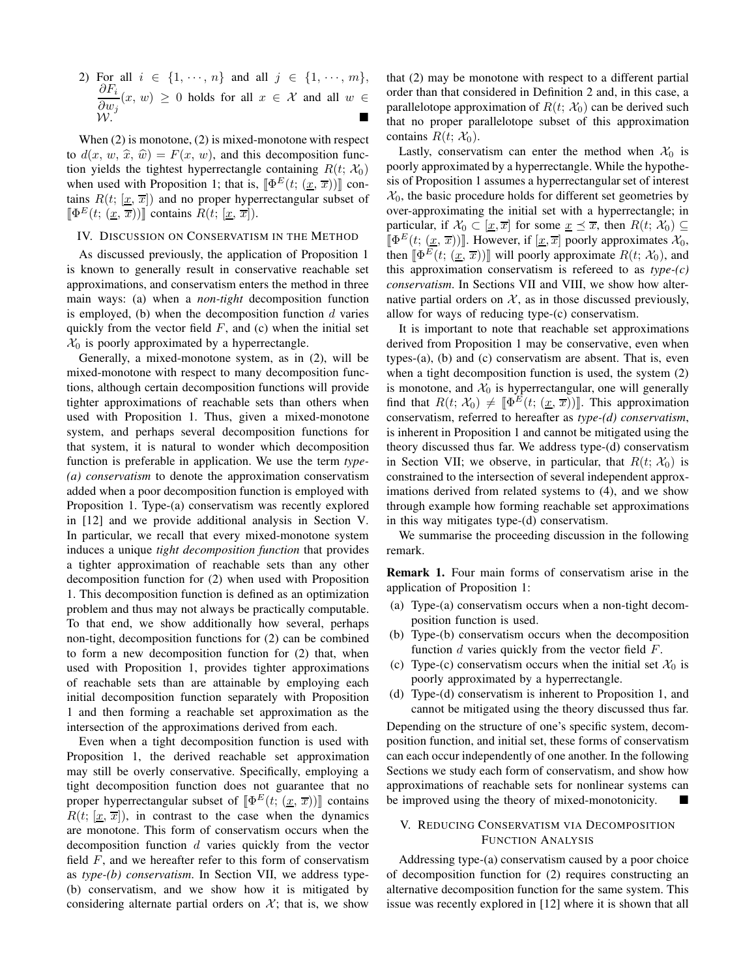2) For all  $i \in \{1, \dots, n\}$  and all  $j \in \{1, \dots, m\}$ ,  $\partial F_i$  $\frac{\partial^2 u}{\partial w_j}(x, w) \geq 0$  holds for all  $x \in \mathcal{X}$  and all  $w \in$  $W.$ 

When [\(2\)](#page-1-1) is monotone, (2) is mixed-monotone with respect to  $d(x, w, \hat{x}, \hat{w}) = F(x, w)$ , and this decomposition function yields the tightest hyperrectangle containing  $R(t; X_0)$ when used with Proposition [1;](#page-1-3) that is,  $[\Phi^E(t; (\underline{x}, \overline{x}))]$  contains  $R(t; [\underline{x}, \overline{x}])$  and no proper hyperrectangular subset of  $[\Phi^E(t; (\underline{x}, \overline{x}))]$  contains  $R(t; [\underline{x}, \overline{x}]).$ 

# IV. DISCUSSION ON CONSERVATISM IN THE METHOD

As discussed previously, the application of Proposition [1](#page-1-3) is known to generally result in conservative reachable set approximations, and conservatism enters the method in three main ways: (a) when a *non-tight* decomposition function is employed, (b) when the decomposition function  $d$  varies quickly from the vector field  $F$ , and (c) when the initial set  $\mathcal{X}_0$  is poorly approximated by a hyperrectangle.

Generally, a mixed-monotone system, as in [\(2\)](#page-1-1), will be mixed-monotone with respect to many decomposition functions, although certain decomposition functions will provide tighter approximations of reachable sets than others when used with Proposition [1.](#page-1-3) Thus, given a mixed-monotone system, and perhaps several decomposition functions for that system, it is natural to wonder which decomposition function is preferable in application. We use the term *type- (a) conservatism* to denote the approximation conservatism added when a poor decomposition function is employed with Proposition [1.](#page-1-3) Type-(a) conservatism was recently explored in [12] and we provide additional analysis in Section [V.](#page-2-0) In particular, we recall that every mixed-monotone system induces a unique *tight decomposition function* that provides a tighter approximation of reachable sets than any other decomposition function for [\(2\)](#page-1-1) when used with Proposition [1.](#page-1-3) This decomposition function is defined as an optimization problem and thus may not always be practically computable. To that end, we show additionally how several, perhaps non-tight, decomposition functions for [\(2\)](#page-1-1) can be combined to form a new decomposition function for [\(2\)](#page-1-1) that, when used with Proposition [1,](#page-1-3) provides tighter approximations of reachable sets than are attainable by employing each initial decomposition function separately with Proposition [1](#page-1-3) and then forming a reachable set approximation as the intersection of the approximations derived from each.

Even when a tight decomposition function is used with Proposition [1,](#page-1-3) the derived reachable set approximation may still be overly conservative. Specifically, employing a tight decomposition function does not guarantee that no proper hyperrectangular subset of  $\left[\Phi^{E}(t; (\underline{x}, \overline{x}))\right]$  contains  $R(t; [\underline{x}, \overline{x}])$ , in contrast to the case when the dynamics are monotone. This form of conservatism occurs when the decomposition function  $d$  varies quickly from the vector field  $F$ , and we hereafter refer to this form of conservatism as *type-(b) conservatism*. In Section [VII,](#page-5-0) we address type- (b) conservatism, and we show how it is mitigated by considering alternate partial orders on  $\mathcal{X}$ ; that is, we show

that [\(2\)](#page-1-1) may be monotone with respect to a different partial order than that considered in Definition [2](#page-1-4) and, in this case, a parallelotope approximation of  $R(t; X_0)$  can be derived such that no proper parallelotope subset of this approximation contains  $R(t; \mathcal{X}_0)$ .

Lastly, conservatism can enter the method when  $\mathcal{X}_0$  is poorly approximated by a hyperrectangle. While the hypothesis of Proposition [1](#page-1-3) assumes a hyperrectangular set of interest  $X<sub>0</sub>$ , the basic procedure holds for different set geometries by over-approximating the initial set with a hyperrectangle; in particular, if  $\mathcal{X}_0 \subset [\underline{x}, \overline{x}]$  for some  $\underline{x} \preceq \overline{x}$ , then  $R(t; \mathcal{X}_0) \subseteq$  $[\![\Phi^E(t; (\underline{x}, \overline{x}))]\!]$ . However, if  $[\underline{x}, \overline{x}]$  poorly approximates  $\mathcal{X}_0$ , then  $[\![\Phi^E(t; (\underline{x}, \overline{x}))]\!]$  will poorly approximate  $R(t; \mathcal{X}_0)$ , and this approximation conservatism is refereed to as *type-(c) conservatism*. In Sections [VII](#page-5-0) and [VIII,](#page-6-0) we show how alternative partial orders on  $X$ , as in those discussed previously, allow for ways of reducing type-(c) conservatism.

It is important to note that reachable set approximations derived from Proposition [1](#page-1-3) may be conservative, even when types-(a), (b) and (c) conservatism are absent. That is, even when a tight decomposition function is used, the system [\(2\)](#page-1-1) is monotone, and  $\mathcal{X}_0$  is hyperrectangular, one will generally find that  $R(t; \mathcal{X}_0) \neq [\![\Phi^E(t; (\underline{x}, \overline{x}))]\!]$ . This approximation conservatism, referred to hereafter as *type-(d) conservatism*, is inherent in Proposition [1](#page-1-3) and cannot be mitigated using the theory discussed thus far. We address type-(d) conservatism in Section [VII;](#page-5-0) we observe, in particular, that  $R(t; X_0)$  is constrained to the intersection of several independent approximations derived from related systems to [\(4\)](#page-1-2), and we show through example how forming reachable set approximations in this way mitigates type-(d) conservatism.

We summarise the proceeding discussion in the following remark.

Remark 1. Four main forms of conservatism arise in the application of Proposition [1:](#page-1-3)

- (a) Type-(a) conservatism occurs when a non-tight decomposition function is used.
- (b) Type-(b) conservatism occurs when the decomposition function  $d$  varies quickly from the vector field  $F$ .
- (c) Type-(c) conservatism occurs when the initial set  $\mathcal{X}_0$  is poorly approximated by a hyperrectangle.
- (d) Type-(d) conservatism is inherent to Proposition [1,](#page-1-3) and cannot be mitigated using the theory discussed thus far.

Depending on the structure of one's specific system, decomposition function, and initial set, these forms of conservatism can each occur independently of one another. In the following Sections we study each form of conservatism, and show how approximations of reachable sets for nonlinear systems can be improved using the theory of mixed-monotonicity.

## <span id="page-2-0"></span>V. REDUCING CONSERVATISM VIA DECOMPOSITION FUNCTION ANALYSIS

Addressing type-(a) conservatism caused by a poor choice of decomposition function for [\(2\)](#page-1-1) requires constructing an alternative decomposition function for the same system. This issue was recently explored in [12] where it is shown that all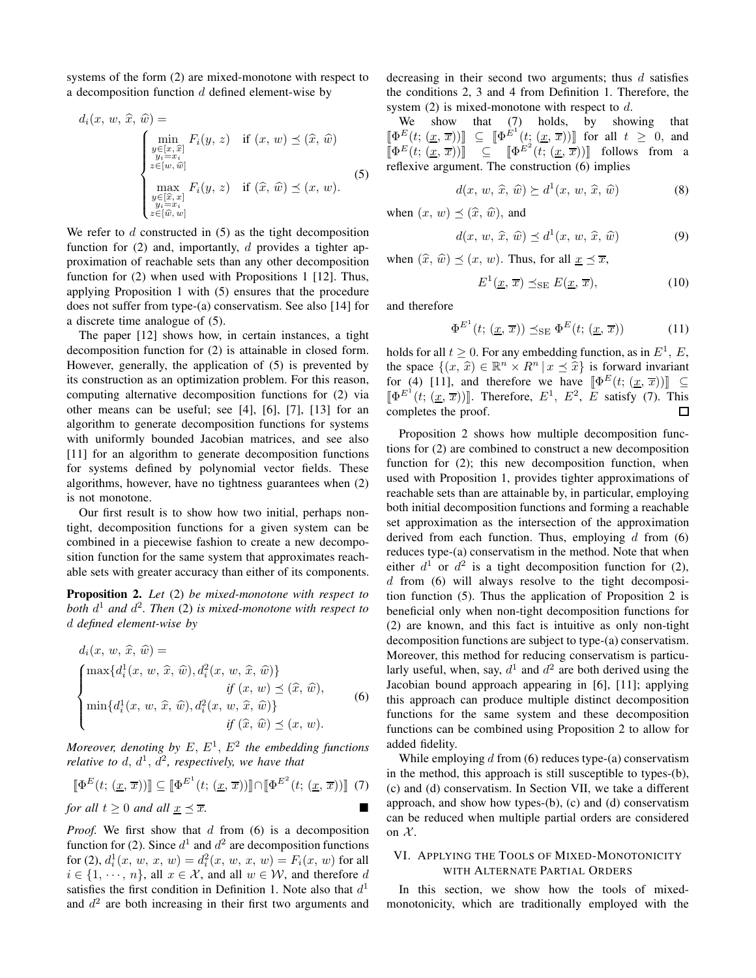systems of the form [\(2\)](#page-1-1) are mixed-monotone with respect to a decomposition function  $d$  defined element-wise by

$$
d_i(x, w, \widehat{x}, \widehat{w}) = \n\begin{cases} \n\min_{\substack{y \in [x, \widehat{x}] \\ y_i = x_i \\ z \in [w, \widehat{w}] \\ \operatorname{max}_{y_i = x_i \\ y_i = x_i \\ z \in [\widehat{w}, w]}} F_i(y, z) & \text{if } (\widehat{x}, \widehat{w}) \preceq (x, w). \n\end{cases} \tag{5}
$$

We refer to  $d$  constructed in  $(5)$  as the tight decomposition function for  $(2)$  and, importantly, d provides a tighter approximation of reachable sets than any other decomposition function for [\(2\)](#page-1-1) when used with Propositions [1](#page-1-3) [12]. Thus, applying Proposition [1](#page-1-3) with [\(5\)](#page-3-0) ensures that the procedure does not suffer from type-(a) conservatism. See also [14] for a discrete time analogue of [\(5\)](#page-3-0).

The paper [12] shows how, in certain instances, a tight decomposition function for [\(2\)](#page-1-1) is attainable in closed form. However, generally, the application of [\(5\)](#page-3-0) is prevented by its construction as an optimization problem. For this reason, computing alternative decomposition functions for [\(2\)](#page-1-1) via other means can be useful; see [4], [6], [7], [13] for an algorithm to generate decomposition functions for systems with uniformly bounded Jacobian matrices, and see also [11] for an algorithm to generate decomposition functions for systems defined by polynomial vector fields. These algorithms, however, have no tightness guarantees when [\(2\)](#page-1-1) is not monotone.

Our first result is to show how two initial, perhaps nontight, decomposition functions for a given system can be combined in a piecewise fashion to create a new decomposition function for the same system that approximates reachable sets with greater accuracy than either of its components.

<span id="page-3-3"></span>Proposition 2. *Let* [\(2\)](#page-1-1) *be mixed-monotone with respect to both* d <sup>1</sup> *and* d 2 *. Then* [\(2\)](#page-1-1) *is mixed-monotone with respect to* d *defined element-wise by*

$$
d_i(x, w, \widehat{x}, \widehat{w}) =
$$
  

$$
\begin{cases} \max\{d_i^1(x, w, \widehat{x}, \widehat{w}), d_i^2(x, w, \widehat{x}, \widehat{w})\} \\ \text{if } (x, w) \leq (\widehat{x}, \widehat{w}), \\ \min\{d_i^1(x, w, \widehat{x}, \widehat{w}), d_i^2(x, w, \widehat{x}, \widehat{w})\} \\ \text{if } (\widehat{x}, \widehat{w}) \leq (x, w). \end{cases}
$$
(6)

*Moreover, denoting by*  $E, E<sup>1</sup>, E<sup>2</sup>$  *the embedding functions relative to*  $d, d^1, d^2$ *, respectively, we have that* 

<span id="page-3-2"></span>
$$
\[\Phi^E(t; (\underline{x}, \overline{x}))\] \subseteq \[\Phi^{E^1}(t; (\underline{x}, \overline{x}))\] \cap \[\Phi^{E^2}(t; (\underline{x}, \overline{x}))\] \tag{7}
$$
\nfor all  $t \geq 0$  and all  $\underline{x} \leq \overline{x}$ .

*Proof.* We first show that d from [\(6\)](#page-3-1) is a decomposition function for [\(2\)](#page-1-1). Since  $d^1$  and  $d^2$  are decomposition functions for [\(2\)](#page-1-1),  $d_i^1(x, w, x, w) = d_i^2(x, w, x, w) = F_i(x, w)$  for all  $i \in \{1, \dots, n\}$ , all  $x \in \mathcal{X}$ , and all  $w \in \mathcal{W}$ , and therefore d satisfies the first condition in Definition [1.](#page-1-5) Note also that  $d<sup>1</sup>$ and  $d^2$  are both increasing in their first two arguments and

decreasing in their second two arguments; thus  $d$  satisfies the conditions 2, 3 and 4 from Definition [1.](#page-1-5) Therefore, the system  $(2)$  is mixed-monotone with respect to d.

We show that [\(7\)](#page-3-2) holds, by showing that  $[\Phi^E(t; (\underline{x}, \overline{x}))] \subseteq [\Phi^{\hat{E}^1}(t; (\underline{x}, \overline{x}))]$  for all  $t \geq 0$ , and  $\left[\Phi^E(t; (\underline{x}, \overline{x}))\right] \subseteq \left[\Phi^E^2(t; (\underline{x}, \overline{x}))\right]$  follows from a reflexive argument. The construction [\(6\)](#page-3-1) implies

$$
d(x, w, \hat{x}, \hat{w}) \succeq d^{1}(x, w, \hat{x}, \hat{w})
$$
 (8)

<span id="page-3-0"></span>when  $(x, w) \prec (\hat{x}, \hat{w})$ , and

$$
d(x, w, \hat{x}, \hat{w}) \preceq d^{1}(x, w, \hat{x}, \hat{w})
$$
\n(9)

when  $(\widehat{x}, \widehat{w}) \preceq (x, w)$ . Thus, for all  $\underline{x} \preceq \overline{x}$ ,

$$
E^1(\underline{x}, \overline{x}) \preceq_{\rm SE} E(\underline{x}, \overline{x}), \tag{10}
$$

and therefore

$$
\Phi^{E^1}(t; (\underline{x}, \overline{x})) \preceq_{\rm SE} \Phi^E(t; (\underline{x}, \overline{x})) \tag{11}
$$

holds for all  $t \geq 0$ . For any embedding function, as in  $E^1$ , E, the space  $\{(x, \hat{x}) \in \mathbb{R}^n \times R^n | x \leq \hat{x}\}\$ is forward invariant for [\(4\)](#page-1-2) [11], and therefore we have  $[\Phi^E(t; (\underline{x}, \overline{x}))] \subseteq$  $[\Phi^{E^1}(t; (\underline{x}, \overline{x}))]$ . Therefore,  $E^1$ ,  $E^2$ ,  $E$  satisfy [\(7\)](#page-3-2). This completes the proof. П

Proposition [2](#page-3-3) shows how multiple decomposition functions for [\(2\)](#page-1-1) are combined to construct a new decomposition function for  $(2)$ ; this new decomposition function, when used with Proposition [1,](#page-1-3) provides tighter approximations of reachable sets than are attainable by, in particular, employing both initial decomposition functions and forming a reachable set approximation as the intersection of the approximation derived from each function. Thus, employing  $d$  from [\(6\)](#page-3-1) reduces type-(a) conservatism in the method. Note that when either  $d^1$  or  $d^2$  is a tight decomposition function for [\(2\)](#page-1-1),  $d$  from [\(6\)](#page-3-1) will always resolve to the tight decomposition function [\(5\)](#page-3-0). Thus the application of Proposition [2](#page-3-3) is beneficial only when non-tight decomposition functions for [\(2\)](#page-1-1) are known, and this fact is intuitive as only non-tight decomposition functions are subject to type-(a) conservatism. Moreover, this method for reducing conservatism is particularly useful, when, say,  $d^1$  and  $d^2$  are both derived using the Jacobian bound approach appearing in [6], [11]; applying this approach can produce multiple distinct decomposition functions for the same system and these decomposition functions can be combined using Proposition [2](#page-3-3) to allow for added fidelity.

<span id="page-3-1"></span>While employing  $d$  from [\(6\)](#page-3-1) reduces type-(a) conservatism in the method, this approach is still susceptible to types-(b), (c) and (d) conservatism. In Section [VII,](#page-5-0) we take a different approach, and show how types-(b), (c) and (d) conservatism can be reduced when multiple partial orders are considered on  $\mathcal{X}$ .

## <span id="page-3-4"></span>VI. APPLYING THE TOOLS OF MIXED-MONOTONICITY WITH ALTERNATE PARTIAL ORDERS

In this section, we show how the tools of mixedmonotonicity, which are traditionally employed with the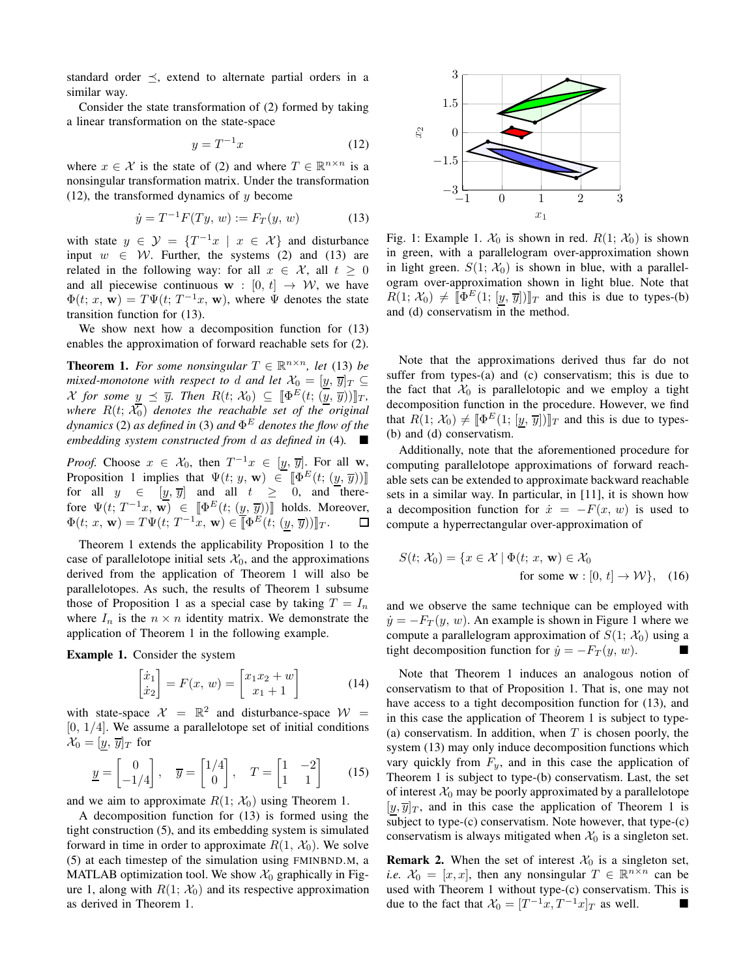standard order  $\preceq$ , extend to alternate partial orders in a similar way.

Consider the state transformation of [\(2\)](#page-1-1) formed by taking a linear transformation on the state-space

<span id="page-4-0"></span>
$$
y = T^{-1}x\tag{12}
$$

where  $x \in \mathcal{X}$  is the state of [\(2\)](#page-1-1) and where  $T \in \mathbb{R}^{n \times n}$  is a nonsingular transformation matrix. Under the transformation [\(12\)](#page-4-0), the transformed dynamics of  $y$  become

<span id="page-4-1"></span>
$$
\dot{y} = T^{-1}F(Ty, w) := F_T(y, w)
$$
\n(13)

with state  $y \in \mathcal{Y} = \{T^{-1}x \mid x \in \mathcal{X}\}\$ and disturbance input  $w \in \mathcal{W}$ . Further, the systems [\(2\)](#page-1-1) and [\(13\)](#page-4-1) are related in the following way: for all  $x \in \mathcal{X}$ , all  $t > 0$ and all piecewise continuous  $\mathbf{w} : [0, t] \rightarrow \mathcal{W}$ , we have  $\Phi(t; x, \mathbf{w}) = T \Psi(t; T^{-1}x, \mathbf{w})$ , where  $\Psi$  denotes the state transition function for [\(13\)](#page-4-1).

We show next how a decomposition function for  $(13)$ enables the approximation of forward reachable sets for [\(2\)](#page-1-1).

<span id="page-4-2"></span>**Theorem 1.** For some nonsingular  $T \in \mathbb{R}^{n \times n}$ , let [\(13\)](#page-4-1) be *mixed-monotone with respect to d and let*  $\mathcal{X}_0 = [y, \overline{y}]_T \subseteq$ *X* for some  $y \preceq \overline{y}$ . Then  $R(t; \mathcal{X}_0) \subseteq [\![\Phi^E(t; (\overline{y}, \overline{y}))]\!]_T$ , *where* R(t; X0) *denotes the reachable set of the original dynamics* [\(2\)](#page-1-1) *as defined in* [\(3\)](#page-1-6) *and* Φ <sup>E</sup> *denotes the flow of the embedding system constructed from* d *as defined in* [\(4\)](#page-1-2)*.*

*Proof.* Choose  $x \in \mathcal{X}_0$ , then  $T^{-1}x \in [y, \overline{y}]$ . For all w, Proposition [1](#page-1-3) implies that  $\Psi(t; y, \mathbf{w}) \in [\![\Phi^E(t; (y, \overline{y}))]\!]$ for all  $y \in [y, \overline{y}]$  and all  $t \geq 0$ , and therefore  $\Psi(t; T^{-1}x, \overline{\mathbf{w}}) \in [\Phi^E(t; (y, \overline{y}))]$  holds. Moreover,  $\Phi(t; x, \mathbf{w}) = T \Psi(t; T^{-1}x, \mathbf{w}) \in \overline{\mathbb{R}} \Phi^E(t; (y, \overline{y})) \mathbb{I}_T.$ 

Theorem [1](#page-4-2) extends the applicability Proposition [1](#page-1-3) to the case of parallelotope initial sets  $\mathcal{X}_0$ , and the approximations derived from the application of Theorem [1](#page-4-2) will also be parallelotopes. As such, the results of Theorem [1](#page-4-2) subsume those of Proposition [1](#page-1-3) as a special case by taking  $T = I_n$ where  $I_n$  is the  $n \times n$  identity matrix. We demonstrate the application of Theorem [1](#page-4-2) in the following example.

<span id="page-4-4"></span>Example 1. Consider the system

<span id="page-4-5"></span>
$$
\begin{bmatrix} \dot{x}_1 \\ \dot{x}_2 \end{bmatrix} = F(x, w) = \begin{bmatrix} x_1 x_2 + w \\ x_1 + 1 \end{bmatrix}
$$
 (14)

with state-space  $\mathcal{X} = \mathbb{R}^2$  and disturbance-space  $\mathcal{W} =$  $[0, 1/4]$ . We assume a parallelotope set of initial conditions  $\mathcal{X}_0 = [y, \overline{y}]_T$  for

<span id="page-4-6"></span>
$$
\underline{y} = \begin{bmatrix} 0 \\ -1/4 \end{bmatrix}, \quad \overline{y} = \begin{bmatrix} 1/4 \\ 0 \end{bmatrix}, \quad T = \begin{bmatrix} 1 & -2 \\ 1 & 1 \end{bmatrix} \tag{15}
$$

and we aim to approximate  $R(1; \mathcal{X}_0)$  using Theorem [1.](#page-4-2)

A decomposition function for [\(13\)](#page-4-1) is formed using the tight construction [\(5\)](#page-3-0), and its embedding system is simulated forward in time in order to approximate  $R(1, \mathcal{X}_0)$ . We solve [\(5\)](#page-3-0) at each timestep of the simulation using FMINBND.M, a MATLAB optimization tool. We show  $\mathcal{X}_0$  graphically in Fig-ure [1,](#page-4-3) along with  $R(1; \mathcal{X}_0)$  and its respective approximation as derived in Theorem [1.](#page-4-2)

<span id="page-4-3"></span>

Fig. 1: Example [1.](#page-4-4)  $\mathcal{X}_0$  is shown in red.  $R(1; \mathcal{X}_0)$  is shown in green, with a parallelogram over-approximation shown in light green.  $S(1; \mathcal{X}_0)$  is shown in blue, with a parallelogram over-approximation shown in light blue. Note that  $R(1; \mathcal{X}_0) \neq [\![\Phi^E(1; [y, \overline{y}])]\!]_T$  and this is due to types-(b) and (d) conservatism in the method.

Note that the approximations derived thus far do not suffer from types-(a) and (c) conservatism; this is due to the fact that  $\mathcal{X}_0$  is parallelotopic and we employ a tight decomposition function in the procedure. However, we find that  $R(1; \mathcal{X}_0) \neq [\![ \Phi^E(1; [\underline{y}, \overline{y}]) ]\!]_T$  and this is due to types-(b) and (d) conservatism.

Additionally, note that the aforementioned procedure for computing parallelotope approximations of forward reachable sets can be extended to approximate backward reachable sets in a similar way. In particular, in [11], it is shown how a decomposition function for  $\dot{x} = -F(x, w)$  is used to compute a hyperrectangular over-approximation of

$$
S(t; \mathcal{X}_0) = \{x \in \mathcal{X} \mid \Phi(t; x, \mathbf{w}) \in \mathcal{X}_0 \text{ for some } \mathbf{w} : [0, t] \to \mathcal{W} \}, \quad (16)
$$

and we observe the same technique can be employed with  $\dot{y} = -F_T(y, w)$ . An example is shown in Figure [1](#page-4-3) where we compute a parallelogram approximation of  $S(1; \mathcal{X}_0)$  using a tight decomposition function for  $\dot{y} = -F_T(y, w)$ .

Note that Theorem [1](#page-4-2) induces an analogous notion of conservatism to that of Proposition [1.](#page-1-3) That is, one may not have access to a tight decomposition function for [\(13\)](#page-4-1), and in this case the application of Theorem [1](#page-4-2) is subject to type- (a) conservatism. In addition, when  $T$  is chosen poorly, the system [\(13\)](#page-4-1) may only induce decomposition functions which vary quickly from  $F_y$ , and in this case the application of Theorem [1](#page-4-2) is subject to type-(b) conservatism. Last, the set of interest  $\mathcal{X}_0$  may be poorly approximated by a parallelotope  $[y, \overline{y}]_T$ , and in this case the application of Theorem [1](#page-4-2) is subject to type-(c) conservatism. Note however, that type-(c) conservatism is always mitigated when  $\mathcal{X}_0$  is a singleton set.

**Remark 2.** When the set of interest  $\mathcal{X}_0$  is a singleton set, *i.e.*  $\mathcal{X}_0 = [x, x]$ , then any nonsingular  $T \in \mathbb{R}^{n \times n}$  can be used with Theorem [1](#page-4-2) without type-(c) conservatism. This is due to the fact that  $\mathcal{X}_0 = [T^{-1}x, T^{-1}x]_T$  as well.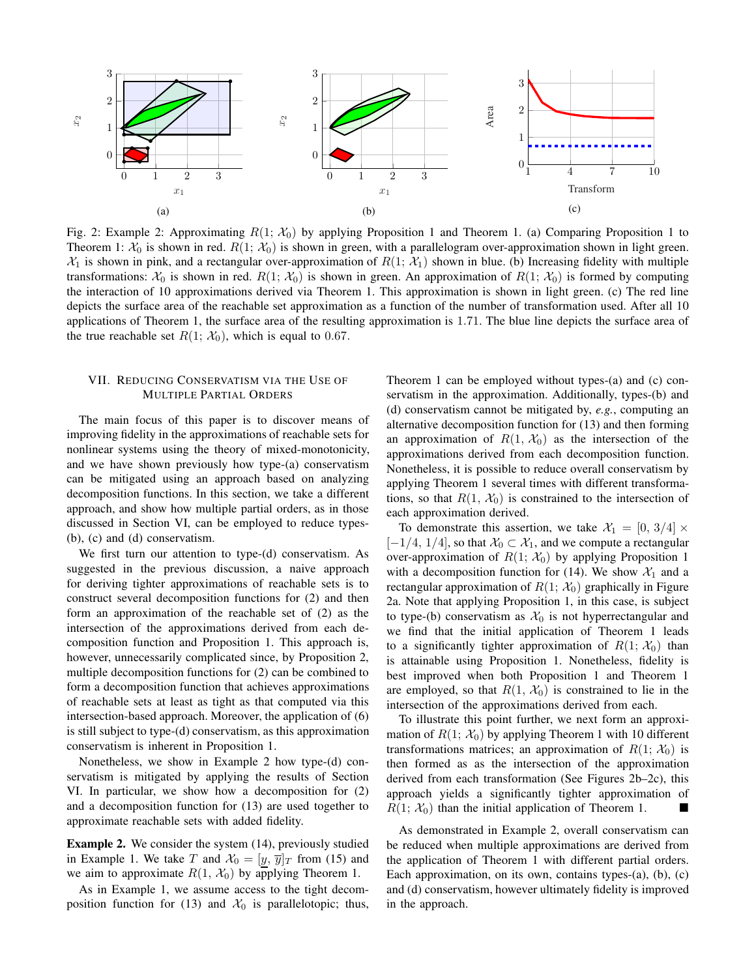<span id="page-5-2"></span>

Fig. [2:](#page-5-1) Example 2: Approximating  $R(1; X_0)$  by applying Proposition [1](#page-1-3) and Theorem [1.](#page-4-2) (a) Comparing Proposition 1 to Theorem [1:](#page-4-2)  $\mathcal{X}_0$  is shown in red.  $R(1; \mathcal{X}_0)$  is shown in green, with a parallelogram over-approximation shown in light green.  $\mathcal{X}_1$  is shown in pink, and a rectangular over-approximation of  $R(1; \mathcal{X}_1)$  shown in blue. (b) Increasing fidelity with multiple transformations:  $\mathcal{X}_0$  is shown in red.  $R(1; \mathcal{X}_0)$  is shown in green. An approximation of  $R(1; \mathcal{X}_0)$  is formed by computing the interaction of 10 approximations derived via Theorem [1.](#page-4-2) This approximation is shown in light green. (c) The red line depicts the surface area of the reachable set approximation as a function of the number of transformation used. After all 10 applications of Theorem [1,](#page-4-2) the surface area of the resulting approximation is 1.71. The blue line depicts the surface area of the true reachable set  $R(1; \mathcal{X}_0)$ , which is equal to 0.67.

## <span id="page-5-0"></span>VII. REDUCING CONSERVATISM VIA THE USE OF MULTIPLE PARTIAL ORDERS

The main focus of this paper is to discover means of improving fidelity in the approximations of reachable sets for nonlinear systems using the theory of mixed-monotonicity, and we have shown previously how type-(a) conservatism can be mitigated using an approach based on analyzing decomposition functions. In this section, we take a different approach, and show how multiple partial orders, as in those discussed in Section [VI,](#page-3-4) can be employed to reduce types- (b), (c) and (d) conservatism.

We first turn our attention to type-(d) conservatism. As suggested in the previous discussion, a naive approach for deriving tighter approximations of reachable sets is to construct several decomposition functions for [\(2\)](#page-1-1) and then form an approximation of the reachable set of [\(2\)](#page-1-1) as the intersection of the approximations derived from each decomposition function and Proposition [1.](#page-1-3) This approach is, however, unnecessarily complicated since, by Proposition [2,](#page-3-3) multiple decomposition functions for [\(2\)](#page-1-1) can be combined to form a decomposition function that achieves approximations of reachable sets at least as tight as that computed via this intersection-based approach. Moreover, the application of [\(6\)](#page-3-1) is still subject to type-(d) conservatism, as this approximation conservatism is inherent in Proposition [1.](#page-1-3)

Nonetheless, we show in Example [2](#page-5-1) how type-(d) conservatism is mitigated by applying the results of Section [VI.](#page-3-4) In particular, we show how a decomposition for [\(2\)](#page-1-1) and a decomposition function for [\(13\)](#page-4-1) are used together to approximate reachable sets with added fidelity.

<span id="page-5-1"></span>Example 2. We consider the system [\(14\)](#page-4-5), previously studied in Example [1.](#page-4-4) We take T and  $\mathcal{X}_0 = [y, \overline{y}]_T$  from [\(15\)](#page-4-6) and we aim to approximate  $R(1, \mathcal{X}_0)$  by applying Theorem [1.](#page-4-2)

As in Example [1,](#page-4-4) we assume access to the tight decom-position function for [\(13\)](#page-4-1) and  $\mathcal{X}_0$  is parallelotopic; thus,

Theorem [1](#page-4-2) can be employed without types-(a) and (c) conservatism in the approximation. Additionally, types-(b) and (d) conservatism cannot be mitigated by, *e.g.*, computing an alternative decomposition function for [\(13\)](#page-4-1) and then forming an approximation of  $R(1, \mathcal{X}_0)$  as the intersection of the approximations derived from each decomposition function. Nonetheless, it is possible to reduce overall conservatism by applying Theorem [1](#page-4-2) several times with different transformations, so that  $R(1, \mathcal{X}_0)$  is constrained to the intersection of each approximation derived.

To demonstrate this assertion, we take  $\mathcal{X}_1 = [0, 3/4] \times$  $[-1/4, 1/4]$ , so that  $\mathcal{X}_0 \subset \mathcal{X}_1$ , and we compute a rectangular over-approximation of  $R(1; \mathcal{X}_0)$  by applying Proposition [1](#page-1-3) with a decomposition function for [\(14\)](#page-4-5). We show  $\mathcal{X}_1$  and a rectangular approximation of  $R(1; \mathcal{X}_0)$  graphically in Figure [2a.](#page-5-2) Note that applying Proposition [1,](#page-1-3) in this case, is subject to type-(b) conservatism as  $X_0$  is not hyperrectangular and we find that the initial application of Theorem [1](#page-4-2) leads to a significantly tighter approximation of  $R(1; X_0)$  than is attainable using Proposition [1.](#page-1-3) Nonetheless, fidelity is best improved when both Proposition [1](#page-1-3) and Theorem [1](#page-4-2) are employed, so that  $R(1, \mathcal{X}_0)$  is constrained to lie in the intersection of the approximations derived from each.

To illustrate this point further, we next form an approximation of  $R(1; \mathcal{X}_0)$  by applying Theorem [1](#page-4-2) with 10 different transformations matrices; an approximation of  $R(1; \mathcal{X}_0)$  is then formed as as the intersection of the approximation derived from each transformation (See Figures [2b–2c\)](#page-5-2), this approach yields a significantly tighter approximation of  $R(1; \mathcal{X}_0)$  than the initial application of Theorem [1.](#page-4-2)

As demonstrated in Example [2,](#page-5-1) overall conservatism can be reduced when multiple approximations are derived from the application of Theorem [1](#page-4-2) with different partial orders. Each approximation, on its own, contains types-(a), (b), (c) and (d) conservatism, however ultimately fidelity is improved in the approach.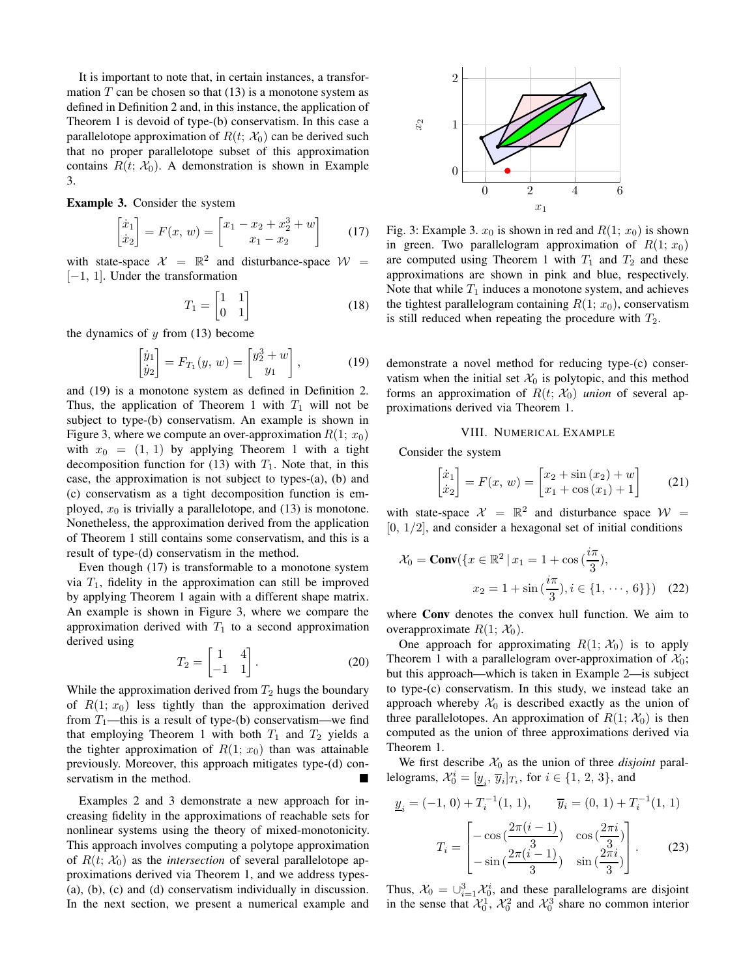It is important to note that, in certain instances, a transformation  $T$  can be chosen so that  $(13)$  is a monotone system as defined in Definition [2](#page-1-4) and, in this instance, the application of Theorem [1](#page-4-2) is devoid of type-(b) conservatism. In this case a parallelotope approximation of  $R(t; X_0)$  can be derived such that no proper parallelotope subset of this approximation contains  $R(t; X_0)$ . A demonstration is shown in Example [3.](#page-6-1)

<span id="page-6-1"></span>Example 3. Consider the system

<span id="page-6-4"></span>
$$
\begin{bmatrix} \dot{x}_1 \\ \dot{x}_2 \end{bmatrix} = F(x, w) = \begin{bmatrix} x_1 - x_2 + x_2^3 + w \\ x_1 - x_2 \end{bmatrix}
$$
 (17)

with state-space  $\mathcal{X} = \mathbb{R}^2$  and disturbance-space  $\mathcal{W} =$ [−1, 1]. Under the transformation

$$
T_1 = \begin{bmatrix} 1 & 1 \\ 0 & 1 \end{bmatrix} \tag{18}
$$

the dynamics of  $y$  from [\(13\)](#page-4-1) become

<span id="page-6-2"></span>
$$
\begin{bmatrix} \dot{y}_1 \\ \dot{y}_2 \end{bmatrix} = F_{T_1}(y, w) = \begin{bmatrix} y_2^3 + w \\ y_1 \end{bmatrix}, \tag{19}
$$

and [\(19\)](#page-6-2) is a monotone system as defined in Definition [2.](#page-1-4) Thus, the application of Theorem [1](#page-4-2) with  $T_1$  will not be subject to type-(b) conservatism. An example is shown in Figure [3,](#page-6-3) where we compute an over-approximation  $R(1; x_0)$ with  $x_0 = (1, 1)$  $x_0 = (1, 1)$  $x_0 = (1, 1)$  by applying Theorem 1 with a tight decomposition function for [\(13\)](#page-4-1) with  $T_1$ . Note that, in this case, the approximation is not subject to types-(a), (b) and (c) conservatism as a tight decomposition function is employed,  $x_0$  is trivially a parallelotope, and [\(13\)](#page-4-1) is monotone. Nonetheless, the approximation derived from the application of Theorem [1](#page-4-2) still contains some conservatism, and this is a result of type-(d) conservatism in the method.

Even though [\(17\)](#page-6-4) is transformable to a monotone system via  $T_1$ , fidelity in the approximation can still be improved by applying Theorem [1](#page-4-2) again with a different shape matrix. An example is shown in Figure [3,](#page-6-3) where we compare the approximation derived with  $T_1$  to a second approximation derived using

$$
T_2 = \begin{bmatrix} 1 & 4 \\ -1 & 1 \end{bmatrix}.
$$
 (20)

While the approximation derived from  $T_2$  hugs the boundary of  $R(1; x_0)$  less tightly than the approximation derived from  $T_1$ —this is a result of type-(b) conservatism—we find that employing Theorem [1](#page-4-2) with both  $T_1$  and  $T_2$  yields a the tighter approximation of  $R(1; x_0)$  than was attainable previously. Moreover, this approach mitigates type-(d) conservatism in the method.

Examples [2](#page-5-1) and [3](#page-6-1) demonstrate a new approach for increasing fidelity in the approximations of reachable sets for nonlinear systems using the theory of mixed-monotonicity. This approach involves computing a polytope approximation of  $R(t; X_0)$  as the *intersection* of several parallelotope approximations derived via Theorem [1,](#page-4-2) and we address types- (a), (b), (c) and (d) conservatism individually in discussion. In the next section, we present a numerical example and

<span id="page-6-3"></span>

Fig. 3: Example [3.](#page-6-1)  $x_0$  is shown in red and  $R(1; x_0)$  is shown in green. Two parallelogram approximation of  $R(1; x_0)$ are computed using Theorem [1](#page-4-2) with  $T_1$  and  $T_2$  and these approximations are shown in pink and blue, respectively. Note that while  $T_1$  induces a monotone system, and achieves the tightest parallelogram containing  $R(1; x_0)$ , conservatism is still reduced when repeating the procedure with  $T_2$ .

demonstrate a novel method for reducing type-(c) conservatism when the initial set  $\mathcal{X}_0$  is polytopic, and this method forms an approximation of  $R(t; X_0)$  *union* of several approximations derived via Theorem [1.](#page-4-2)

### VIII. NUMERICAL EXAMPLE

<span id="page-6-0"></span>Consider the system

$$
\begin{bmatrix} \dot{x}_1 \\ \dot{x}_2 \end{bmatrix} = F(x, w) = \begin{bmatrix} x_2 + \sin(x_2) + w \\ x_1 + \cos(x_1) + 1 \end{bmatrix}
$$
 (21)

with state-space  $\mathcal{X} = \mathbb{R}^2$  and disturbance space  $\mathcal{W} =$  $[0, 1/2]$ , and consider a hexagonal set of initial conditions

$$
\mathcal{X}_0 = \text{Conv}(\{x \in \mathbb{R}^2 \mid x_1 = 1 + \cos\left(\frac{i\pi}{3}\right),\nx_2 = 1 + \sin\left(\frac{i\pi}{3}\right), i \in \{1, \dots, 6\}\}) \quad (22)
$$

where Conv denotes the convex hull function. We aim to overapproximate  $R(1; \mathcal{X}_0)$ .

One approach for approximating  $R(1; \mathcal{X}_0)$  is to apply Theorem [1](#page-4-2) with a parallelogram over-approximation of  $\mathcal{X}_0$ ; but this approach—which is taken in Example [2—](#page-5-1)is subject to type-(c) conservatism. In this study, we instead take an approach whereby  $\mathcal{X}_0$  is described exactly as the union of three parallelotopes. An approximation of  $R(1; X_0)$  is then computed as the union of three approximations derived via Theorem [1.](#page-4-2)

We first describe  $\mathcal{X}_0$  as the union of three *disjoint* parallelograms,  $\mathcal{X}_0^i = [\underline{y}_i, \overline{y}_i]_{T_i}$ , for  $i \in \{1, 2, 3\}$ , and

$$
\underline{y}_{i} = (-1, 0) + T_{i}^{-1}(1, 1), \qquad \overline{y}_{i} = (0, 1) + T_{i}^{-1}(1, 1)
$$

$$
T_{i} = \begin{bmatrix} -\cos\left(\frac{2\pi(i-1)}{3}\right) & \cos\left(\frac{2\pi i}{3}\right) \\ -\sin\left(\frac{2\pi(i-1)}{3}\right) & \sin\left(\frac{2\pi i}{3}\right) \end{bmatrix}.
$$
(23)

Thus,  $\mathcal{X}_0 = \bigcup_{i=1}^3 \mathcal{X}_0^i$ , and these parallelograms are disjoint in the sense that  $\mathcal{X}_0^1$ ,  $\mathcal{X}_0^2$  and  $\mathcal{X}_0^3$  share no common interior